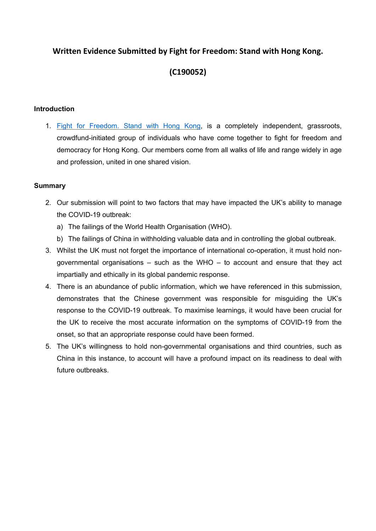# **Written Evidence Submitted by Fight for Freedom: Stand with Hong Kong.**

# **(C190052)**

## **Introduction**

1. [Fight](https://standwithhk.org/) [for](https://standwithhk.org/) [Freedom.](https://standwithhk.org/) [Stand](https://standwithhk.org/) [with](https://standwithhk.org/) [Hong](https://standwithhk.org/) [Kong,](https://standwithhk.org/) is a completely independent, grassroots, crowdfund-initiated group of individuals who have come together to fight for freedom and democracy for Hong Kong. Our members come from all walks of life and range widely in age and profession, united in one shared vision.

## **Summary**

- 2. Our submission will point to two factors that may have impacted the UK's ability to manage the COVID-19 outbreak:
	- a) The failings of the World Health Organisation (WHO).
	- b) The failings of China in withholding valuable data and in controlling the global outbreak.
- 3. Whilst the UK must not forget the importance of international co-operation, it must hold nongovernmental organisations – such as the WHO – to account and ensure that they act impartially and ethically in its global pandemic response.
- 4. There is an abundance of public information, which we have referenced in this submission, demonstrates that the Chinese government was responsible for misguiding the UK's response to the COVID-19 outbreak. To maximise learnings, it would have been crucial for the UK to receive the most accurate information on the symptoms of COVID-19 from the onset, so that an appropriate response could have been formed.
- 5. The UK's willingness to hold non-governmental organisations and third countries, such as China in this instance, to account will have a profound impact on its readiness to deal with future outbreaks.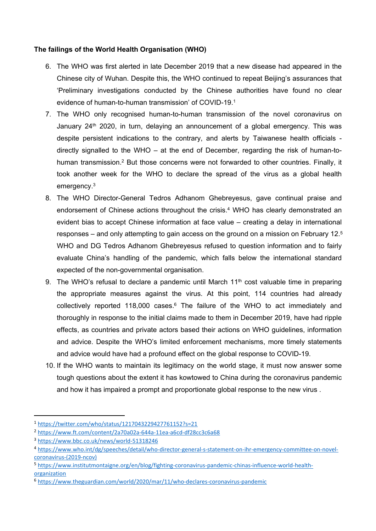#### **The failings of the World Health Organisation (WHO)**

- 6. The WHO was first alerted in late December 2019 that a new disease had appeared in the Chinese city of Wuhan. Despite this, the WHO continued to repeat Beijing's assurances that 'Preliminary investigations conducted by the Chinese authorities have found no clear evidence of human-to-human transmission' of COVID-19.<sup>1</sup>
- 7. The WHO only recognised human-to-human transmission of the novel coronavirus on January  $24<sup>th</sup>$  2020, in turn, delaying an announcement of a global emergency. This was despite persistent indications to the contrary, and alerts by Taiwanese health officials directly signalled to the WHO – at the end of December, regarding the risk of human-tohuman transmission.<sup>2</sup> But those concerns were not forwarded to other countries. Finally, it took another week for the WHO to declare the spread of the virus as a global health emergency.<sup>3</sup>
- 8. The WHO Director-General Tedros Adhanom Ghebreyesus, gave continual praise and endorsement of Chinese actions throughout the crisis.<sup>4</sup> WHO has clearly demonstrated an evident bias to accept Chinese information at face value – creating a delay in international responses – and only attempting to gain access on the ground on a mission on February 12.<sup>5</sup> WHO and DG Tedros Adhanom Ghebreyesus refused to question information and to fairly evaluate China's handling of the pandemic, which falls below the international standard expected of the non-governmental organisation.
- 9. The WHO's refusal to declare a pandemic until March  $11<sup>th</sup>$  cost valuable time in preparing the appropriate measures against the virus. At this point, 114 countries had already collectively reported 118,000 cases. $6$  The failure of the WHO to act immediately and thoroughly in response to the initial claims made to them in December 2019, have had ripple effects, as countries and private actors based their actions on WHO guidelines, information and advice. Despite the WHO's limited enforcement mechanisms, more timely statements and advice would have had a profound effect on the global response to COVID-19.
- 10. If the WHO wants to maintain its legitimacy on the world stage, it must now answer some tough questions about the extent it has kowtowed to China during the coronavirus pandemic and how it has impaired a prompt and proportionate global response to the new virus .

<sup>1</sup> <https://twitter.com/who/status/1217043229427761152?s=21>

<sup>2</sup> <https://www.ft.com/content/2a70a02a-644a-11ea-a6cd-df28cc3c6a68>

<sup>3</sup> <https://www.bbc.co.uk/news/world-51318246>

<sup>4</sup> [https://www.who.int/dg/speeches/detail/who-director-general-s-statement-on-ihr-emergency-committee-on-novel](https://www.who.int/dg/speeches/detail/who-director-general-s-statement-on-ihr-emergency-committee-on-novel-coronavirus-(2019-ncov))[coronavirus-\(2019-ncov\)](https://www.who.int/dg/speeches/detail/who-director-general-s-statement-on-ihr-emergency-committee-on-novel-coronavirus-(2019-ncov))

<sup>5</sup> [https://www.institutmontaigne.org/en/blog/fighting-coronavirus-pandemic-chinas-influence-world-health](https://www.institutmontaigne.org/en/blog/fighting-coronavirus-pandemic-chinas-influence-world-health-organization)[organization](https://www.institutmontaigne.org/en/blog/fighting-coronavirus-pandemic-chinas-influence-world-health-organization)

<sup>6</sup> <https://www.theguardian.com/world/2020/mar/11/who-declares-coronavirus-pandemic>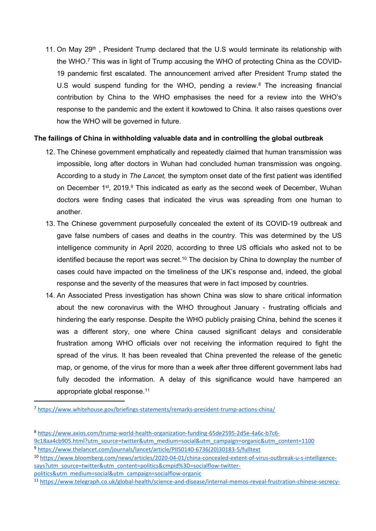11. On May 29<sup>th</sup>, President Trump declared that the U.S would terminate its relationship with the WHO.<sup>7</sup> This was in light of Trump accusing the WHO of protecting China as the COVID-19 pandemic first escalated. The announcement arrived after President Trump stated the U.S would suspend funding for the WHO, pending a review.<sup>8</sup> The increasing financial contribution by China to the WHO emphasises the need for a review into the WHO's response to the pandemic and the extent it kowtowed to China. It also raises questions over how the WHO will be governed in future.

#### **The failings of China in withholding valuable data and in controlling the global outbreak**

- 12. The Chinese government emphatically and repeatedly claimed that human transmission was impossible, long after doctors in Wuhan had concluded human transmission was ongoing. According to a study in *The Lancet,* the symptom onset date of the first patient was identified on December 1<sup>st</sup>, 2019.<sup>9</sup> This indicated as early as the second week of December, Wuhan doctors were finding cases that indicated the virus was spreading from one human to another.
- 13. The Chinese government purposefully concealed the extent of its COVID-19 outbreak and gave false numbers of cases and deaths in the country. This was determined by the US intelligence community in April 2020, according to three US officials who asked not to be identified because the report was secret.<sup>10</sup> The decision by China to downplay the number of cases could have impacted on the timeliness of the UK's response and, indeed, the global response and the severity of the measures that were in fact imposed by countries.
- 14. An Associated Press investigation has shown China was slow to share critical information about the new coronavirus with the WHO throughout January - frustrating officials and hindering the early response. Despite the WHO publicly praising China, behind the scenes it was a different story, one where China caused significant delays and considerable frustration among WHO officials over not receiving the information required to fight the spread of the virus. It has been revealed that China prevented the release of the genetic map, or genome, of the virus for more than a week after three different government labs had fully decoded the information. A delay of this significance would have hampered an appropriate global response.<sup>11</sup>

<sup>7</sup> <https://www.whitehouse.gov/briefings-statements/remarks-president-trump-actions-china/>

<sup>8</sup> [https://www.axios.com/trump-world-health-organization-funding-65de2595-2d5e-4a6c-b7c6-](https://www.axios.com/trump-world-health-organization-funding-65de2595-2d5e-4a6c-b7c6-9c18aa4cb905.html?utm_source=twitter&utm_medium=social&utm_campaign=organic&utm_content=1100)

[<sup>9</sup>c18aa4cb905.html?utm\\_source=twitter&utm\\_medium=social&utm\\_campaign=organic&utm\\_content=1100](https://www.axios.com/trump-world-health-organization-funding-65de2595-2d5e-4a6c-b7c6-9c18aa4cb905.html?utm_source=twitter&utm_medium=social&utm_campaign=organic&utm_content=1100)

<sup>9</sup> [https://www.thelancet.com/journals/lancet/article/PIIS0140-6736\(20\)30183-5/fulltext](https://www.thelancet.com/journals/lancet/article/PIIS0140-6736(20)30183-5/fulltext)

<sup>10</sup> [https://www.bloomberg.com/news/articles/2020-04-01/china-concealed-extent-of-virus-outbreak-u-s-intelligence](https://www.bloomberg.com/news/articles/2020-04-01/china-concealed-extent-of-virus-outbreak-u-s-intelligence-says?utm_source=twitter&utm_content=politics&cmpid%3D=socialflow-twitter-politics&utm_medium=social&utm_campaign=socialflow-organic)[says?utm\\_source=twitter&utm\\_content=politics&cmpid%3D=socialflow-twitter](https://www.bloomberg.com/news/articles/2020-04-01/china-concealed-extent-of-virus-outbreak-u-s-intelligence-says?utm_source=twitter&utm_content=politics&cmpid%3D=socialflow-twitter-politics&utm_medium=social&utm_campaign=socialflow-organic)[politics&utm\\_medium=social&utm\\_campaign=socialflow-organic](https://www.bloomberg.com/news/articles/2020-04-01/china-concealed-extent-of-virus-outbreak-u-s-intelligence-says?utm_source=twitter&utm_content=politics&cmpid%3D=socialflow-twitter-politics&utm_medium=social&utm_campaign=socialflow-organic)

<sup>11</sup> [https://www.telegraph.co.uk/global-health/science-and-disease/internal-memos-reveal-frustration-chinese-secrecy-](https://www.telegraph.co.uk/global-health/science-and-disease/internal-memos-reveal-frustration-chinese-secrecy-early-stage/)